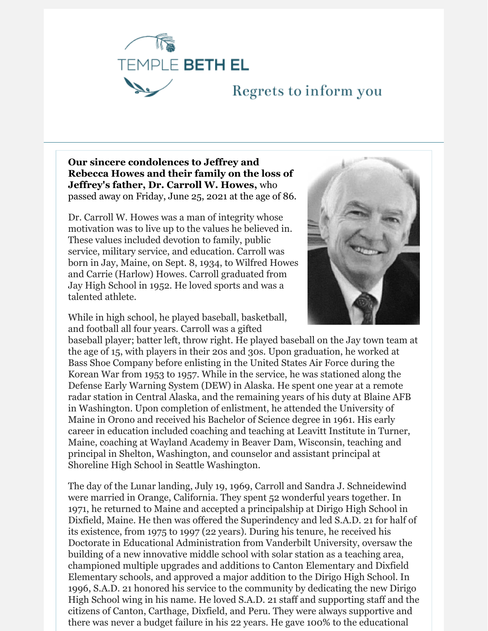

## Regrets to inform you

**Our sincere condolences to Jeffrey and Rebecca Howes and their family on the loss of Jeffrey's father, Dr. Carroll W. Howes,** who passed away on Friday, June 25, 2021 at the age of 86.

Dr. Carroll W. Howes was a man of integrity whose motivation was to live up to the values he believed in. These values included devotion to family, public service, military service, and education. Carroll was born in Jay, Maine, on Sept. 8, 1934, to Wilfred Howes and Carrie (Harlow) Howes. Carroll graduated from Jay High School in 1952. He loved sports and was a talented athlete.



While in high school, he played baseball, basketball, and football all four years. Carroll was a gifted

baseball player; batter left, throw right. He played baseball on the Jay town team at the age of 15, with players in their 20s and 30s. Upon graduation, he worked at Bass Shoe Company before enlisting in the United States Air Force during the Korean War from 1953 to 1957. While in the service, he was stationed along the Defense Early Warning System (DEW) in Alaska. He spent one year at a remote radar station in Central Alaska, and the remaining years of his duty at Blaine AFB in Washington. Upon completion of enlistment, he attended the University of Maine in Orono and received his Bachelor of Science degree in 1961. His early career in education included coaching and teaching at Leavitt Institute in Turner, Maine, coaching at Wayland Academy in Beaver Dam, Wisconsin, teaching and principal in Shelton, Washington, and counselor and assistant principal at Shoreline High School in Seattle Washington.

The day of the Lunar landing, July 19, 1969, Carroll and Sandra J. Schneidewind were married in Orange, California. They spent 52 wonderful years together. In 1971, he returned to Maine and accepted a principalship at Dirigo High School in Dixfield, Maine. He then was offered the Superindency and led S.A.D. 21 for half of its existence, from 1975 to 1997 (22 years). During his tenure, he received his Doctorate in Educational Administration from Vanderbilt University, oversaw the building of a new innovative middle school with solar station as a teaching area, championed multiple upgrades and additions to Canton Elementary and Dixfield Elementary schools, and approved a major addition to the Dirigo High School. In 1996, S.A.D. 21 honored his service to the community by dedicating the new Dirigo High School wing in his name. He loved S.A.D. 21 staff and supporting staff and the citizens of Canton, Carthage, Dixfield, and Peru. They were always supportive and there was never a budget failure in his 22 years. He gave 100% to the educational